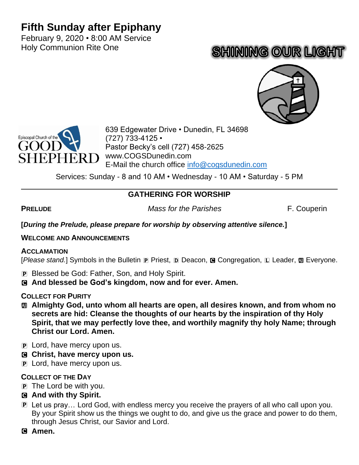## **Fifth Sunday after Epiphany**

February 9, 2020 • 8:00 AM Service Holy Communion Rite One

# **SHINING OUR LIGHT**





639 Edgewater Drive • Dunedin, FL 34698 (727) 733-4125 • Pastor Becky's cell (727) 458-2625 www.COGSDunedin.com E-Mail the church office [info@cogsdunedin.com](mailto:info@cogsdunedin.com)

Services: Sunday - 8 and 10 AM • Wednesday - 10 AM • Saturday - 5 PM

## **GATHERING FOR WORSHIP**

**PRELUDE** *Mass for the Parishes* F. Couperin

**[***During the Prelude, please prepare for worship by observing attentive silence.***]**

#### **WELCOME AND ANNOUNCEMENTS**

#### **ACCLAMATION**

[Please stand.] Symbols in the Bulletin <sub>[P</sub> Priest, D Deacon, **@** Congregation, L Leader, **m** Everyone.

- P Blessed be God: Father, Son, and Holy Spirit.
- C **And blessed be God's kingdom, now and for ever. Amen.**

#### **COLLECT FOR PURITY**

- a **Almighty God, unto whom all hearts are open, all desires known, and from whom no secrets are hid: Cleanse the thoughts of our hearts by the inspiration of thy Holy Spirit, that we may perfectly love thee, and worthily magnify thy holy Name; through Christ our Lord. Amen.**
- **P** Lord, have mercy upon us.
- C **Christ, have mercy upon us.**
- **P** Lord, have mercy upon us.

## **COLLECT OF THE DAY**

- P The Lord be with you.
- C **And with thy Spirit.**
- P Let us pray… Lord God, with endless mercy you receive the prayers of all who call upon you. By your Spirit show us the things we ought to do, and give us the grace and power to do them, through Jesus Christ, our Savior and Lord.
- C **Amen.**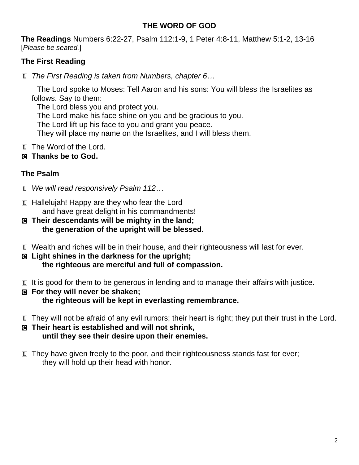#### **THE WORD OF GOD**

**The Readings** Numbers 6:22-27, Psalm 112:1-9, 1 Peter 4:8-11, Matthew 5:1-2, 13-16 [*Please be seated.*]

## **The First Reading**

L *The First Reading is taken from Numbers, chapter 6…*

The Lord spoke to Moses: Tell Aaron and his sons: You will bless the Israelites as follows. Say to them:

The Lord bless you and protect you.

The Lord make his face shine on you and be gracious to you.

The Lord lift up his face to you and grant you peace.

They will place my name on the Israelites, and I will bless them.

- L The Word of the Lord.
- C **Thanks be to God.**

## **The Psalm**

- L *We will read responsively Psalm 112…*
- L Hallelujah! Happy are they who fear the Lord and have great delight in his commandments!
- C **Their descendants will be mighty in the land; the generation of the upright will be blessed.**
- L Wealth and riches will be in their house, and their righteousness will last for ever.
- C **Light shines in the darkness for the upright; the righteous are merciful and full of compassion.**
- L It is good for them to be generous in lending and to manage their affairs with justice.
- C **For they will never be shaken; the righteous will be kept in everlasting remembrance.**
- L They will not be afraid of any evil rumors; their heart is right; they put their trust in the Lord.
- C **Their heart is established and will not shrink, until they see their desire upon their enemies.**
- $E$  They have given freely to the poor, and their righteousness stands fast for ever; they will hold up their head with honor.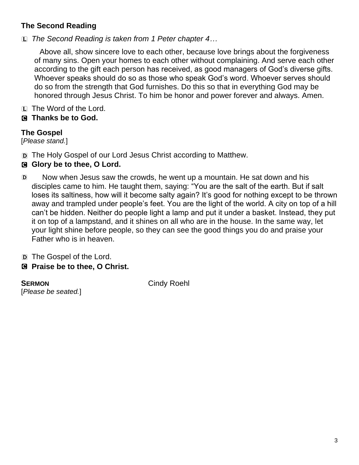## **The Second Reading**

L *The Second Reading is taken from 1 Peter chapter 4…*

Above all, show sincere love to each other, because love brings about the forgiveness of many sins. Open your homes to each other without complaining. And serve each other according to the gift each person has received, as good managers of God's diverse gifts. Whoever speaks should do so as those who speak God's word. Whoever serves should do so from the strength that God furnishes. Do this so that in everything God may be honored through Jesus Christ. To him be honor and power forever and always. Amen.

L The Word of the Lord.

## C **Thanks be to God.**

## **The Gospel**

[*Please stand.*]

D The Holy Gospel of our Lord Jesus Christ according to Matthew.

## C **Glory be to thee, O Lord.**

D Now when Jesus saw the crowds, he went up a mountain. He sat down and his disciples came to him. He taught them, saying: "You are the salt of the earth. But if salt loses its saltiness, how will it become salty again? It's good for nothing except to be thrown away and trampled under people's feet. You are the light of the world. A city on top of a hill can't be hidden. Neither do people light a lamp and put it under a basket. Instead, they put it on top of a lampstand, and it shines on all who are in the house. In the same way, let your light shine before people, so they can see the good things you do and praise your Father who is in heaven.

D The Gospel of the Lord.

## C **Praise be to thee, O Christ.**

**SERMON** Cindy Roehl [*Please be seated.*]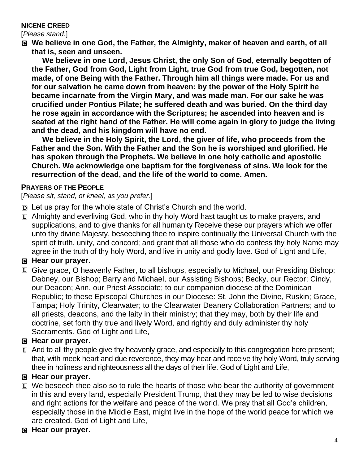#### **NICENE CREED**

[*Please stand.*]

C **We believe in one God, the Father, the Almighty, maker of heaven and earth, of all that is, seen and unseen.** 

**We believe in one Lord, Jesus Christ, the only Son of God, eternally begotten of the Father, God from God, Light from Light, true God from true God, begotten, not made, of one Being with the Father. Through him all things were made. For us and for our salvation he came down from heaven: by the power of the Holy Spirit he became incarnate from the Virgin Mary, and was made man. For our sake he was crucified under Pontius Pilate; he suffered death and was buried. On the third day he rose again in accordance with the Scriptures; he ascended into heaven and is seated at the right hand of the Father. He will come again in glory to judge the living and the dead, and his kingdom will have no end.**

**We believe in the Holy Spirit, the Lord, the giver of life, who proceeds from the Father and the Son. With the Father and the Son he is worshiped and glorified. He has spoken through the Prophets. We believe in one holy catholic and apostolic Church. We acknowledge one baptism for the forgiveness of sins. We look for the resurrection of the dead, and the life of the world to come. Amen.**

#### **PRAYERS OF THE PEOPLE**

[*Please sit, stand, or kneel, as you prefer.*]

- D Let us pray for the whole state of Christ's Church and the world.
- $\Box$  Almighty and everliving God, who in thy holy Word hast taught us to make prayers, and supplications, and to give thanks for all humanity Receive these our prayers which we offer unto thy divine Majesty, beseeching thee to inspire continually the Universal Church with the spirit of truth, unity, and concord; and grant that all those who do confess thy holy Name may agree in the truth of thy holy Word, and live in unity and godly love. God of Light and Life,

## C **Hear our prayer.**

L Give grace, O heavenly Father, to all bishops, especially to Michael, our Presiding Bishop; Dabney, our Bishop; Barry and Michael, our Assisting Bishops; Becky, our Rector; Cindy, our Deacon; Ann, our Priest Associate; to our companion diocese of the Dominican Republic; to these Episcopal Churches in our Diocese: St. John the Divine, Ruskin; Grace, Tampa; Holy Trinity, Clearwater; to the Clearwater Deanery Collaboration Partners; and to all priests, deacons, and the laity in their ministry; that they may, both by their life and doctrine, set forth thy true and lively Word, and rightly and duly administer thy holy Sacraments. God of Light and Life,

## C **Hear our prayer.**

 $\Box$  And to all thy people give thy heavenly grace, and especially to this congregation here present; that, with meek heart and due reverence, they may hear and receive thy holy Word, truly serving thee in holiness and righteousness all the days of their life. God of Light and Life,

#### C **Hear our prayer.**

- $E$  We beseech thee also so to rule the hearts of those who bear the authority of government in this and every land, especially President Trump, that they may be led to wise decisions and right actions for the welfare and peace of the world. We pray that all God's children, especially those in the Middle East, might live in the hope of the world peace for which we are created. God of Light and Life,
- C **Hear our prayer.**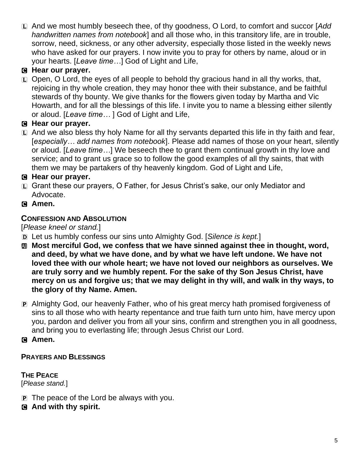L And we most humbly beseech thee, of thy goodness, O Lord, to comfort and succor [*Add handwritten names from notebook*] and all those who, in this transitory life, are in trouble, sorrow, need, sickness, or any other adversity, especially those listed in the weekly news who have asked for our prayers. I now invite you to pray for others by name, aloud or in your hearts. [*Leave time…*] God of Light and Life,

## C **Hear our prayer.**

 $\Box$  Open, O Lord, the eyes of all people to behold thy gracious hand in all thy works, that, rejoicing in thy whole creation, they may honor thee with their substance, and be faithful stewards of thy bounty. We give thanks for the flowers given today by Martha and Vic Howarth, and for all the blessings of this life. I invite you to name a blessing either silently or aloud. [*Leave time…* ] God of Light and Life,

## C **Hear our prayer.**

 $\Box$  And we also bless thy holy Name for all thy servants departed this life in thy faith and fear, [*especially… add names from notebook*]. Please add names of those on your heart, silently or aloud. [*Leave time…*] We beseech thee to grant them continual growth in thy love and service; and to grant us grace so to follow the good examples of all thy saints, that with them we may be partakers of thy heavenly kingdom. God of Light and Life,

## C **Hear our prayer.**

- L Grant these our prayers, O Father, for Jesus Christ's sake, our only Mediator and Advocate.
- C **Amen.**

## **CONFESSION AND ABSOLUTION**

[*Please kneel or stand.*]

- D Let us humbly confess our sins unto Almighty God. [*Silence is kept.*]
- a **Most merciful God, we confess that we have sinned against thee in thought, word, and deed, by what we have done, and by what we have left undone. We have not loved thee with our whole heart; we have not loved our neighbors as ourselves. We are truly sorry and we humbly repent. For the sake of thy Son Jesus Christ, have mercy on us and forgive us; that we may delight in thy will, and walk in thy ways, to the glory of thy Name. Amen.**
- P Almighty God, our heavenly Father, who of his great mercy hath promised forgiveness of sins to all those who with hearty repentance and true faith turn unto him, have mercy upon you, pardon and deliver you from all your sins, confirm and strengthen you in all goodness, and bring you to everlasting life; through Jesus Christ our Lord.

## C **Amen.**

## **PRAYERS AND BLESSINGS**

## **THE PEACE**

[*Please stand.*]

- P The peace of the Lord be always with you.
- C **And with thy spirit.**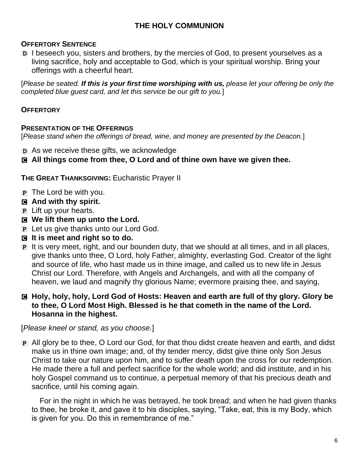## **THE HOLY COMMUNION**

#### **OFFERTORY SENTENCE**

D I beseech you, sisters and brothers, by the mercies of God, to present yourselves as a living sacrifice, holy and acceptable to God, which is your spiritual worship. Bring your offerings with a cheerful heart.

[*Please be seated. If this is your first time worshiping with us, please let your offering be only the completed blue guest card, and let this service be our gift to you.*]

#### **OFFERTORY**

#### **PRESENTATION OF THE OFFERINGS**

[*Please stand when the offerings of bread, wine, and money are presented by the Deacon.*]

- D As we receive these gifts, we acknowledge
- C **All things come from thee, O Lord and of thine own have we given thee.**

**THE GREAT THANKSGIVING:** Eucharistic Prayer II

- $\overline{p}$  The Lord be with you.
- C **And with thy spirit.**
- P Lift up your hearts.
- C **We lift them up unto the Lord.**
- P Let us give thanks unto our Lord God.
- C **It is meet and right so to do.**
- P It is very meet, right, and our bounden duty, that we should at all times, and in all places, give thanks unto thee, O Lord, holy Father, almighty, everlasting God. Creator of the light and source of life, who hast made us in thine image, and called us to new life in Jesus Christ our Lord. Therefore, with Angels and Archangels, and with all the company of heaven, we laud and magnify thy glorious Name; evermore praising thee, and saying,

#### C **Holy, holy, holy, Lord God of Hosts: Heaven and earth are full of thy glory. Glory be to thee, O Lord Most High. Blessed is he that cometh in the name of the Lord. Hosanna in the highest.**

[*Please kneel or stand, as you choose.*]

P All glory be to thee, O Lord our God, for that thou didst create heaven and earth, and didst make us in thine own image; and, of thy tender mercy, didst give thine only Son Jesus Christ to take our nature upon him, and to suffer death upon the cross for our redemption. He made there a full and perfect sacrifice for the whole world; and did institute, and in his holy Gospel command us to continue, a perpetual memory of that his precious death and sacrifice, until his coming again.

For in the night in which he was betrayed, he took bread; and when he had given thanks to thee, he broke it, and gave it to his disciples, saying, "Take, eat, this is my Body, which is given for you. Do this in remembrance of me."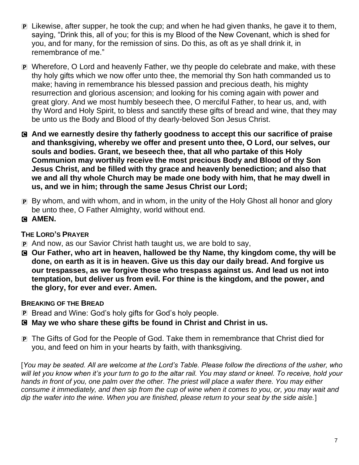- P Likewise, after supper, he took the cup; and when he had given thanks, he gave it to them, saying, "Drink this, all of you; for this is my Blood of the New Covenant, which is shed for you, and for many, for the remission of sins. Do this, as oft as ye shall drink it, in remembrance of me."
- P Wherefore, O Lord and heavenly Father, we thy people do celebrate and make, with these thy holy gifts which we now offer unto thee, the memorial thy Son hath commanded us to make; having in remembrance his blessed passion and precious death, his mighty resurrection and glorious ascension; and looking for his coming again with power and great glory. And we most humbly beseech thee, O merciful Father, to hear us, and, with thy Word and Holy Spirit, to bless and sanctify these gifts of bread and wine, that they may be unto us the Body and Blood of thy dearly-beloved Son Jesus Christ.
- C **And we earnestly desire thy fatherly goodness to accept this our sacrifice of praise and thanksgiving, whereby we offer and present unto thee, O Lord, our selves, our souls and bodies. Grant, we beseech thee, that all who partake of this Holy Communion may worthily receive the most precious Body and Blood of thy Son Jesus Christ, and be filled with thy grace and heavenly benediction; and also that we and all thy whole Church may be made one body with him, that he may dwell in us, and we in him; through the same Jesus Christ our Lord;**
- P By whom, and with whom, and in whom, in the unity of the Holy Ghost all honor and glory be unto thee, O Father Almighty, world without end.
- C **AMEN.**

## **THE LORD'S PRAYER**

- P And now, as our Savior Christ hath taught us, we are bold to say,
- C **Our Father, who art in heaven, hallowed be thy Name, thy kingdom come, thy will be done, on earth as it is in heaven. Give us this day our daily bread. And forgive us our trespasses, as we forgive those who trespass against us. And lead us not into temptation, but deliver us from evil. For thine is the kingdom, and the power, and the glory, for ever and ever. Amen.**

## **BREAKING OF THE BREAD**

- P Bread and Wine: God's holy gifts for God's holy people.
- C **May we who share these gifts be found in Christ and Christ in us.**
- P The Gifts of God for the People of God. Take them in remembrance that Christ died for you, and feed on him in your hearts by faith, with thanksgiving.

[*You may be seated. All are welcome at the Lord's Table. Please follow the directions of the usher, who*  will let you know when it's your turn to go to the altar rail. You may stand or kneel. To receive, hold your hands in front of you, one palm over the other. The priest will place a wafer there. You may either *consume it immediately, and then sip from the cup of wine when it comes to you, or, you may wait and dip the wafer into the wine. When you are finished, please return to your seat by the side aisle.*]